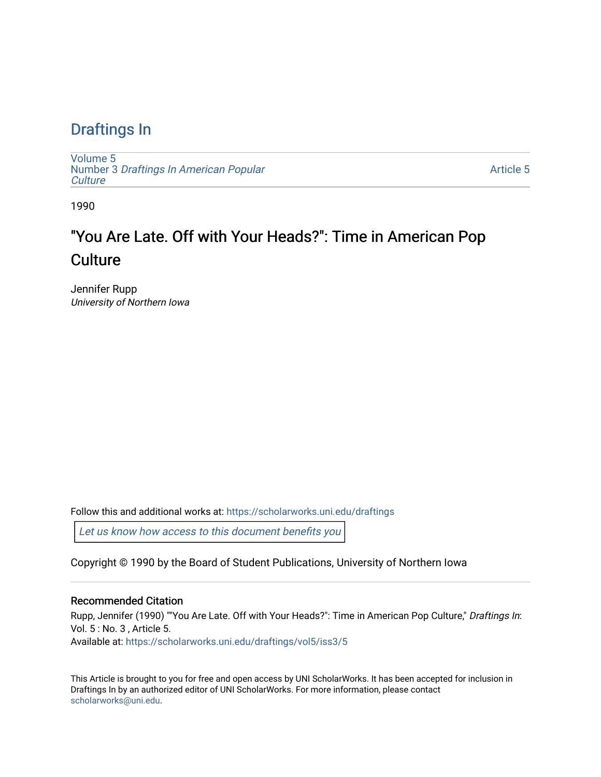### [Draftings In](https://scholarworks.uni.edu/draftings)

[Volume 5](https://scholarworks.uni.edu/draftings/vol5) Number 3 [Draftings In American Popular](https://scholarworks.uni.edu/draftings/vol5/iss3) **Culture** 

[Article 5](https://scholarworks.uni.edu/draftings/vol5/iss3/5) 

1990

## "You Are Late. Off with Your Heads?": Time in American Pop **Culture**

Jennifer Rupp University of Northern Iowa

Follow this and additional works at: [https://scholarworks.uni.edu/draftings](https://scholarworks.uni.edu/draftings?utm_source=scholarworks.uni.edu%2Fdraftings%2Fvol5%2Fiss3%2F5&utm_medium=PDF&utm_campaign=PDFCoverPages) 

[Let us know how access to this document benefits you](https://scholarworks.uni.edu/feedback_form.html) 

Copyright © 1990 by the Board of Student Publications, University of Northern Iowa

#### Recommended Citation

Rupp, Jennifer (1990) ""You Are Late. Off with Your Heads?": Time in American Pop Culture," Draftings In: Vol. 5 : No. 3 , Article 5. Available at: [https://scholarworks.uni.edu/draftings/vol5/iss3/5](https://scholarworks.uni.edu/draftings/vol5/iss3/5?utm_source=scholarworks.uni.edu%2Fdraftings%2Fvol5%2Fiss3%2F5&utm_medium=PDF&utm_campaign=PDFCoverPages)

This Article is brought to you for free and open access by UNI ScholarWorks. It has been accepted for inclusion in Draftings In by an authorized editor of UNI ScholarWorks. For more information, please contact [scholarworks@uni.edu](mailto:scholarworks@uni.edu).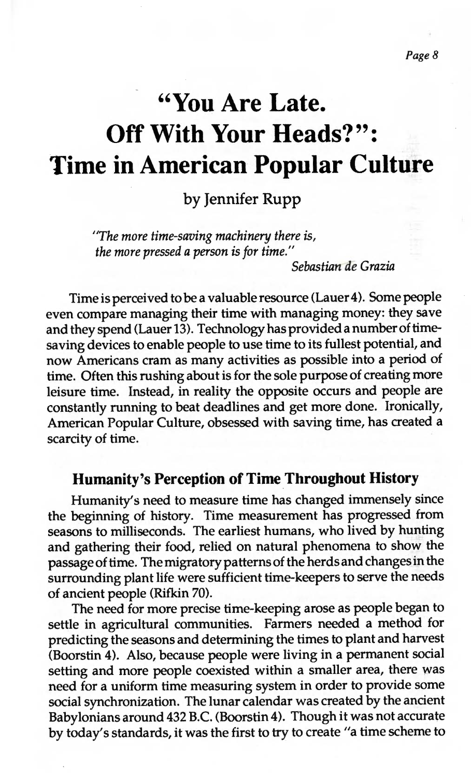# **"You Are Late. Off With Your Heads?": Time in American Popular Culture**

by Jennifer Rupp

*"The more time-saving machinery there is, the more pressed a person is for time."* 

*Sebastiarrae Grazia* 

Time is perceived to be a valuable resource (Lauer 4). Some people even compare managing their time with managing money: they save and they spend (Lauer 13). Technology has provided a numberof timesaving devices to enable people to use time to its fullest potential, and now Americans cram as many activities as possible into a period of time. Often this rushing about is for the sole purpose of creating more leisure time. Instead, in reality the opposite occurs and people are constantly running to beat deadlines and get more done. Ironically, American Popular Culture, obsessed with saving time, has created a scarcity of time.

#### **Humanity's Perception of Time Throughout History**

Humanity's need to measure time has changed immensely since the beginning of history. Time measurement has progressed from seasons to milliseconds. The earliest humans, who lived by hunting and gathering their food, relied on natural phenomena to show the passage of time. The migratory patterns of the herds and changes in the surrounding plant life were sufficient time-keepers to serve the needs of ancient people (Rifkin 70).

The need for more precise time-keeping arose as people began to settle in agricultural communities. Farmers needed a method for predicting the seasons and determining the times to plant and harvest (Boorstin 4). Also, because people were living in a permanent social setting and more people coexisted within a smaller area, there was need for a uniform time measuring system in order to provide some social synchronization. The lunar calendar was created by the ancient Babylonians around 432 B.C. (Boorstin 4). Though it was not accurate by today's standards, it was the first to try to create "a time scheme to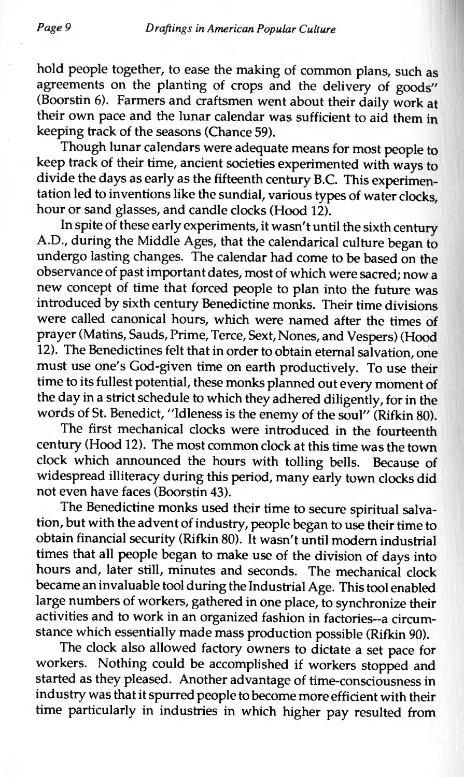hold people together, to ease the making of common plans, such as agreements on the planting of crops and the delivery of goods" (Boorstin 6). Farmers and craftsmen went about their daily work at their own pace and the lunar calendar was sufficient to aid them in keeping track of the seasons (Chance 59).

Though lunar calendars were adequate means for most people to keep track of their time, ancient societies experimented with ways to divide the days as early as the fifteenth century B.C. This experimentation led to inventions like the sundial, various types of water clocks, hour or sand glasses, and candle clocks (Hood 12).

In spite of these early experiments, it wasn't until the sixth century A.O., during the Middle Ages, that the calendarical culture began to undergo lasting changes. The calendar had come to be based on the observance of past important dates, most of which were sacred; now a new concept of time that forced people to plan into the future was introduced by sixth century Benedictine monks. Their time divisions were called canonical hours, which were named after the times of prayer (Matins, Sauds, Prime, Terce, Sext, Nones, and Vespers) (Hood 12). The Benedictines felt that in order to obtain eternal salvation, one must use one's God-given time on earth productively. To use their time to its fullest potential, these monks planned out every moment of the day in a strict schedule to which they adhered diligently, for in the words of St. Benedict, "Idleness is the enemy of the soul" (Rifkin 80).

The first mechanical clocks were introduced in the fourteenth century (Hood 12). The most common clock at this time was the town clock which announced the hours with tolling bells. Because of widespread illiteracy during this period, many early town clocks did not even have faces (Boorstin 43).

The Benedictine monks used their time to secure spiritual salvation, but with the advent of industry, people began to use their time to obtain financial security (Rifkin 80). It wasn't until modern industrial times that all people began to make use of the division of days into hours and, later still, minutes and seconds. The mechanical clock became an invaluable tool during the Industrial Age. This tool enabled large numbers of workers, gathered in one place, to synchronize their activities and to work in an organized fashion in factories--a circumstance which essentially made mass production possible (Rifkin 90).

The clock also allowed factory owners to dictate a set pace for workers. Nothing could be accomplished if workers stopped and started as they pleased. Another advantage of time-consciousness in industry was that it spurred people to become more efficient with their time particularly in industries in which higher pay resulted from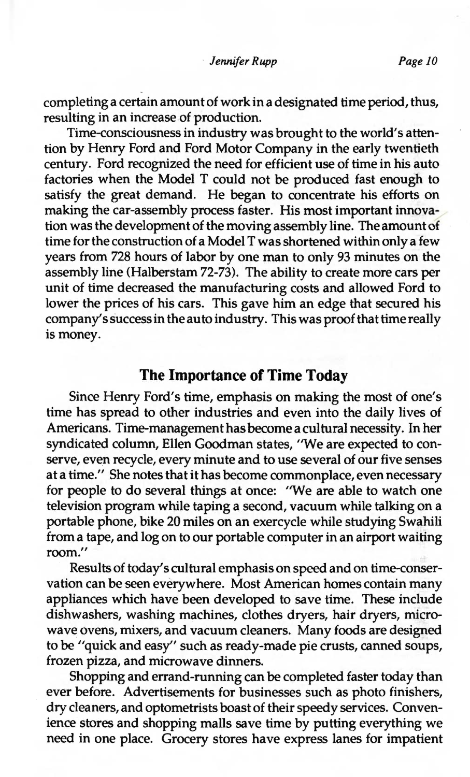completing a certain amount of work in a designated time period, thus, resulting in an increase of production.

Time-consciousness in industry was brought to the world's attention by Henry Ford and Ford Motor Company in the early twentieth century. Ford recognized the need for efficient use of time in his auto factories when the Model T could not be produced fast enough to satisfy the great demand. He began to concentrate his efforts on making the car-assembly process faster. His most important innovation was the development of the moving assembly line. The amount of time for the construction of a Model T was shortened within only a few years from 728 hours of labor by one man to only 93 minutes on the assembly line (Halberstam 72-73). The ability to create more cars per unit of time decreased the manufacturing costs and allowed Ford to lower the prices of his cars. This gave him an edge that secured his company's success in the auto industry. This was proof that time really is money.

#### **The Importance of Time Today**

Since Henry Ford's time, emphasis on making the most of one's time has spread to other industries and even into the daily lives of Americans. Time-management has become a cultural necessity. In her syndicated column, Ellen Goodman states, "We are expected to conserve, even recycle, every minute and to use several of our five senses at a time." She notes that it has become commonplace, even necessary for people to do several things at once: "We are able to watch one television program while taping a second, vacuum while talking on a portable phone, bike 20 miles on an exercycle while studying Swahili from a tape, and log on to our portable computer in an airport waiting room."

Results of today's cultural emphasis on speed and on time-conservation can be seen everywhere. Most American homes contain many appliances which have been developed to save time. These include dishwashers, washing machines, clothes dryers, hair dryers, microwave ovens, mixers, and vacuum cleaners. Many foods are designed to be "quick and easy" such as ready-made pie crusts, canned soups, frozen pizza, and microwave dinners.

Shopping and errand-running can be completed faster today than ever before. Advertisements for businesses such as photo finishers, dry cleaners, and optometrists boast of their speedy services. Convenience stores and shopping malls save time by putting everything we need in one place. Grocery stores have express lanes for impatient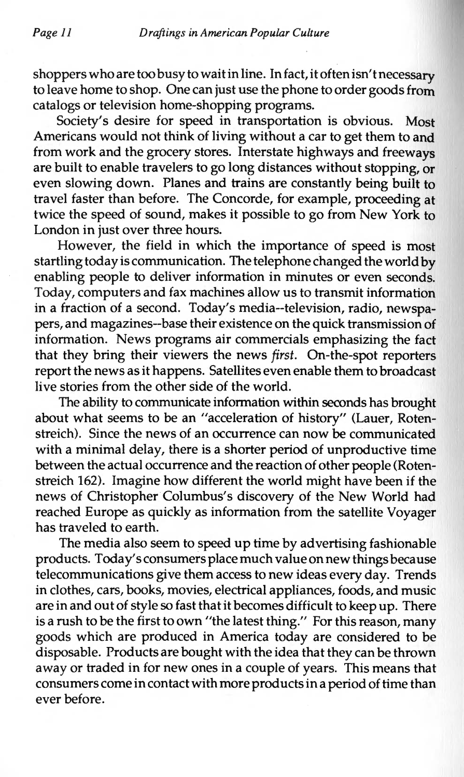shoppers who are too busy to wait in line. In fact, it often isn't necessary to leave home to shop. One can just use the phone to order goods from catalogs or television home-shopping programs.

Society's desire for speed in transportation is obvious. Most Americans would not think of living without a car to get them to and from work and the grocery stores. Interstate highways and freeways are built to enable travelers to go long distances without stopping, or even slowing down. Planes and trains are constantly being built to travel faster than before. The Concorde, for example, proceeding at twice the speed of sound, makes it possible to go from New York to London in just over three hours.

However, the field in which the importance of speed is most startling today is communication. The telephone changed the world by enabling people to deliver information in minutes or even seconds. Today, computers and fax machines allow us to transmit information in a fraction of a second. Today's media--television, radio, newspapers, and magazines--base their existence on the quick transmission of information. News programs air commercials emphasizing the fact that they bring their viewers the news *first.* On-the-spot reporters report the news as it happens. Satellites even enable them to broadcast live stories from the other side of the world.

The ability to communicate information within seconds has brought about what seems to be an "acceleration of history" (Lauer, Rotenstreich). Since the news of an occurrence can now be communicated with a minimal delay, there is a shorter period of unproductive time between the actual occurrence and the reaction of other people (Rotenstreich 162). Imagine how different the world might have been if the news of Christopher Columbus's discovery of the New World had reached Europe as quickly as information from the satellite Voyager has traveled to earth.

The media also seem to speed up time by advertising fashionable products. Today's consumers place much value on new things because telecommunications give them access to new ideas every day. Trends in clothes, cars, books, movies, electrical appliances, foods, and music are in and out of style so fast that it becomes difficult to keep up. There is a rush to be the first to own "the latest thing." For this reason, many goods which are produced in America today are considered to be disposable. Products are bought with the idea that they can be thrown away or traded in for new ones in a couple of years. This means that consumers come in contact with more products in a period of time than ever before.